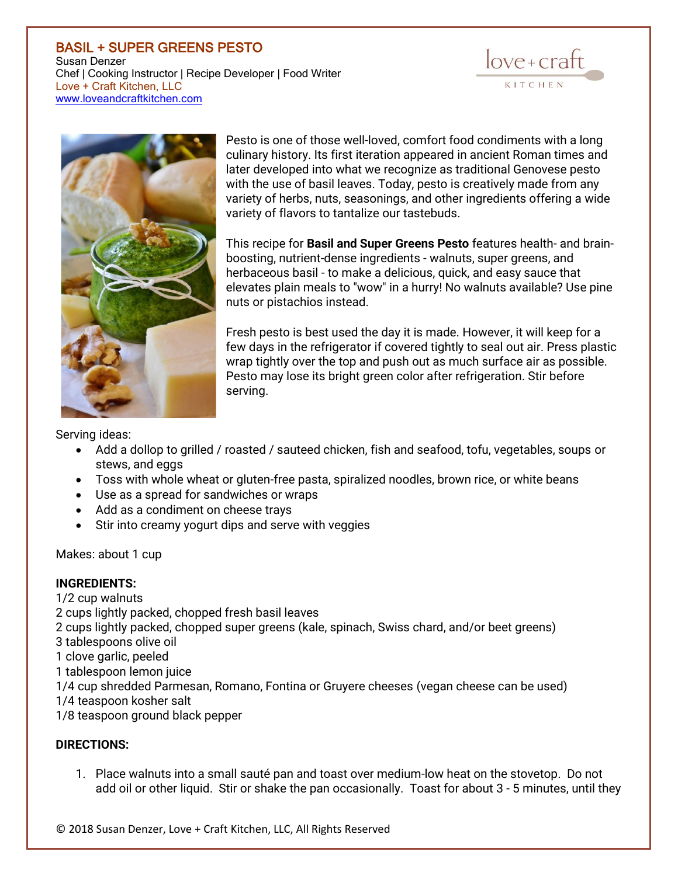## BASIL + SUPER GREENS PESTO Susan Denzer Chef | Cooking Instructor | Recipe Developer | Food Writer Love + Craft Kitchen, LLC [www.loveandcraftkitchen.com](http://www.loveandcraftkitchen.com/)





Pesto is one of those well-loved, comfort food condiments with a long culinary history. Its first iteration appeared in ancient Roman times and later developed into what we recognize as traditional Genovese pesto with the use of basil leaves. Today, pesto is creatively made from any variety of herbs, nuts, seasonings, and other ingredients offering a wide variety of flavors to tantalize our tastebuds.

This recipe for **Basil and Super Greens Pesto** features health- and brainboosting, nutrient-dense ingredients - walnuts, super greens, and herbaceous basil - to make a delicious, quick, and easy sauce that elevates plain meals to "wow" in a hurry! No walnuts available? Use pine nuts or pistachios instead.

Fresh pesto is best used the day it is made. However, it will keep for a few days in the refrigerator if covered tightly to seal out air. Press plastic wrap tightly over the top and push out as much surface air as possible. Pesto may lose its bright green color after refrigeration. Stir before serving.

Serving ideas:

- Add a dollop to grilled / roasted / sauteed chicken, fish and seafood, tofu, vegetables, soups or stews, and eggs
- Toss with whole wheat or gluten-free pasta, spiralized noodles, brown rice, or white beans
- Use as a spread for sandwiches or wraps
- Add as a condiment on cheese trays
- Stir into creamy yogurt dips and serve with veggies

Makes: about 1 cup

## **INGREDIENTS:**

1/2 cup walnuts

2 cups lightly packed, chopped fresh basil leaves

2 cups lightly packed, chopped super greens (kale, spinach, Swiss chard, and/or beet greens)

- 3 tablespoons olive oil
- 1 clove garlic, peeled
- 1 tablespoon lemon juice
- 1/4 cup shredded Parmesan, Romano, Fontina or Gruyere cheeses (vegan cheese can be used)
- 1/4 teaspoon kosher salt

1/8 teaspoon ground black pepper

## **DIRECTIONS:**

1. Place walnuts into a small sauté pan and toast over medium-low heat on the stovetop. Do not add oil or other liquid. Stir or shake the pan occasionally. Toast for about 3 - 5 minutes, until they

© 2018 Susan Denzer, Love + Craft Kitchen, LLC, All Rights Reserved